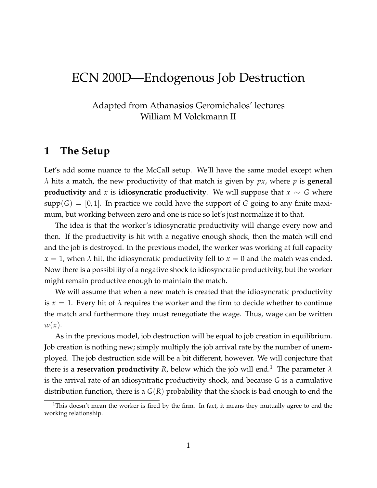# ECN 200D—Endogenous Job Destruction

### Adapted from Athanasios Geromichalos' lectures William M Volckmann II

### **1 The Setup**

Let's add some nuance to the McCall setup. We'll have the same model except when *λ* hits a match, the new productivity of that match is given by *px*, where *p* is **general productivity** and *x* is **idiosyncratic productivity**. We will suppose that  $x \sim G$  where  $supp(G) = [0, 1]$ . In practice we could have the support of *G* going to any finite maximum, but working between zero and one is nice so let's just normalize it to that.

The idea is that the worker's idiosyncratic productivity will change every now and then. If the productivity is hit with a negative enough shock, then the match will end and the job is destroyed. In the previous model, the worker was working at full capacity  $x = 1$ ; when  $\lambda$  hit, the idiosyncratic productivity fell to  $x = 0$  and the match was ended. Now there is a possibility of a negative shock to idiosyncratic productivity, but the worker might remain productive enough to maintain the match.

We will assume that when a new match is created that the idiosyncratic productivity is  $x = 1$ . Every hit of  $\lambda$  requires the worker and the firm to decide whether to continue the match and furthermore they must renegotiate the wage. Thus, wage can be written *w*(*x*).

As in the previous model, job destruction will be equal to job creation in equilibrium. Job creation is nothing new; simply multiply the job arrival rate by the number of unemployed. The job destruction side will be a bit different, however. We will conjecture that there is a **reservation productivity** *R*, below which the job will end.<sup>1</sup> The parameter  $\lambda$ is the arrival rate of an idiosyntratic productivity shock, and because *G* is a cumulative distribution function, there is a *G*(*R*) probability that the shock is bad enough to end the

<sup>&</sup>lt;sup>1</sup>This doesn't mean the worker is fired by the firm. In fact, it means they mutually agree to end the working relationship.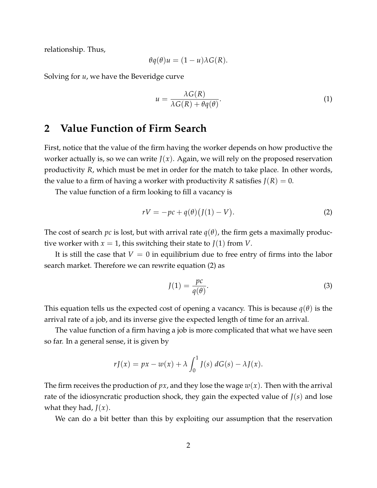relationship. Thus,

$$
\theta q(\theta)u = (1 - u)\lambda G(R).
$$

Solving for *u*, we have the Beveridge curve

$$
u = \frac{\lambda G(R)}{\lambda G(R) + \theta q(\theta)}.
$$
\n(1)

# **2 Value Function of Firm Search**

First, notice that the value of the firm having the worker depends on how productive the worker actually is, so we can write  $J(x)$ . Again, we will rely on the proposed reservation productivity *R*, which must be met in order for the match to take place. In other words, the value to a firm of having a worker with productivity *R* satisfies  $J(R) = 0$ .

The value function of a firm looking to fill a vacancy is

$$
rV = -pc + q(\theta)(J(1) - V). \tag{2}
$$

The cost of search *pc* is lost, but with arrival rate *q*(*θ*), the firm gets a maximally productive worker with  $x = 1$ , this switching their state to  $J(1)$  from *V*.

It is still the case that  $V = 0$  in equilibrium due to free entry of firms into the labor search market. Therefore we can rewrite equation (2) as

$$
J(1) = \frac{pc}{q(\theta)}.\tag{3}
$$

This equation tells us the expected cost of opening a vacancy. This is because *q*(*θ*) is the arrival rate of a job, and its inverse give the expected length of time for an arrival.

The value function of a firm having a job is more complicated that what we have seen so far. In a general sense, it is given by

$$
rJ(x) = px - w(x) + \lambda \int_0^1 J(s) dG(s) - \lambda J(x).
$$

The firm receives the production of *px*, and they lose the wage *w*(*x*). Then with the arrival rate of the idiosyncratic production shock, they gain the expected value of *J*(*s*) and lose what they had, *J*(*x*).

We can do a bit better than this by exploiting our assumption that the reservation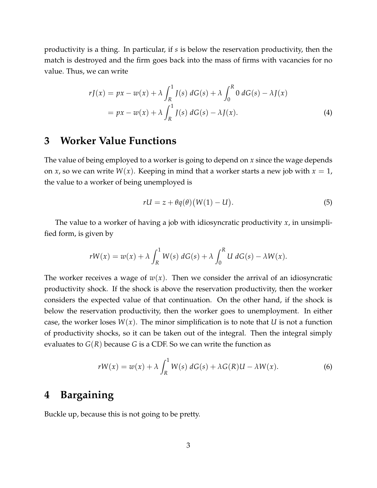productivity is a thing. In particular, if *s* is below the reservation productivity, then the match is destroyed and the firm goes back into the mass of firms with vacancies for no value. Thus, we can write

$$
rJ(x) = px - w(x) + \lambda \int_{R}^{1} J(s) dG(s) + \lambda \int_{0}^{R} 0 dG(s) - \lambda J(x)
$$
  
=  $px - w(x) + \lambda \int_{R}^{1} J(s) dG(s) - \lambda J(x).$  (4)

# **3 Worker Value Functions**

The value of being employed to a worker is going to depend on *x* since the wage depends on *x*, so we can write  $W(x)$ . Keeping in mind that a worker starts a new job with  $x = 1$ , the value to a worker of being unemployed is

$$
rU = z + \theta q(\theta) (W(1) - U).
$$
 (5)

The value to a worker of having a job with idiosyncratic productivity *x*, in unsimplified form, is given by

$$
rW(x) = w(x) + \lambda \int_{R}^{1} W(s) dG(s) + \lambda \int_{0}^{R} U dG(s) - \lambda W(x).
$$

The worker receives a wage of  $w(x)$ . Then we consider the arrival of an idiosyncratic productivity shock. If the shock is above the reservation productivity, then the worker considers the expected value of that continuation. On the other hand, if the shock is below the reservation productivity, then the worker goes to unemployment. In either case, the worker loses  $W(x)$ . The minor simplification is to note that *U* is not a function of productivity shocks, so it can be taken out of the integral. Then the integral simply evaluates to *G*(*R*) because *G* is a CDF. So we can write the function as

$$
rW(x) = w(x) + \lambda \int_{R}^{1} W(s) dG(s) + \lambda G(R)U - \lambda W(x).
$$
 (6)

# **4 Bargaining**

Buckle up, because this is not going to be pretty.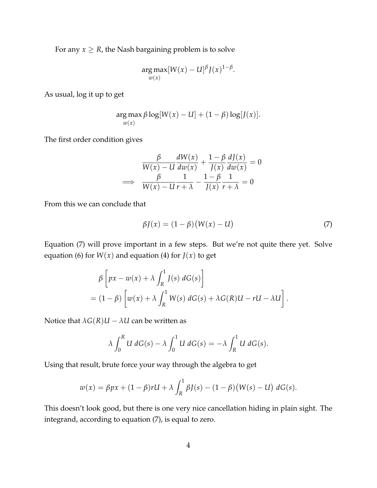For any  $x \geq R$ , the Nash bargaining problem is to solve

$$
\underset{w(x)}{\arg \max} [W(x) - U]^{\beta} J(x)^{1-\beta}.
$$

As usual, log it up to get

$$
\argmax_{w(x)} \beta \log[W(x) - U] + (1 - \beta) \log[J(x)].
$$

The first order condition gives

$$
\frac{\beta}{W(x) - U} \frac{dW(x)}{dw(x)} + \frac{1 - \beta}{J(x)} \frac{dJ(x)}{dw(x)} = 0
$$
  

$$
\implies \frac{\beta}{W(x) - U} \frac{1}{r + \lambda} - \frac{1 - \beta}{J(x)} \frac{1}{r + \lambda} = 0
$$

From this we can conclude that

$$
\beta J(x) = (1 - \beta)(W(x) - U) \tag{7}
$$

Equation (7) will prove important in a few steps. But we're not quite there yet. Solve equation (6) for  $W(x)$  and equation (4) for  $J(x)$  to get

$$
\beta \left[ px - w(x) + \lambda \int_R^1 J(s) dG(s) \right]
$$
  
=  $(1 - \beta) \left[ w(x) + \lambda \int_R^1 W(s) dG(s) + \lambda G(R)U - rU - \lambda U \right].$ 

Notice that  $\lambda G(R)U - \lambda U$  can be written as

$$
\lambda \int_0^R U dG(s) - \lambda \int_0^1 U dG(s) = -\lambda \int_R^1 U dG(s).
$$

Using that result, brute force your way through the algebra to get

$$
w(x) = \beta px + (1 - \beta)rU + \lambda \int_{R}^{1} \beta J(s) - (1 - \beta)(W(s) - U) \, dG(s).
$$

This doesn't look good, but there is one very nice cancellation hiding in plain sight. The integrand, according to equation (7), is equal to zero.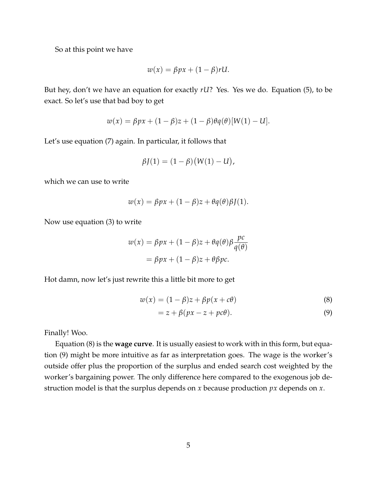So at this point we have

$$
w(x) = \beta px + (1 - \beta)rU.
$$

But hey, don't we have an equation for exactly *rU*? Yes. Yes we do. Equation (5), to be exact. So let's use that bad boy to get

$$
w(x) = \beta px + (1 - \beta)z + (1 - \beta)\theta q(\theta)[W(1) - U].
$$

Let's use equation (7) again. In particular, it follows that

$$
\beta J(1) = (1 - \beta)(W(1) - U),
$$

which we can use to write

$$
w(x) = \beta px + (1 - \beta)z + \theta q(\theta)\beta J(1).
$$

Now use equation (3) to write

$$
w(x) = \beta px + (1 - \beta)z + \theta q(\theta)\beta \frac{pc}{q(\theta)}
$$

$$
= \beta px + (1 - \beta)z + \theta \beta pc.
$$

Hot damn, now let's just rewrite this a little bit more to get

$$
w(x) = (1 - \beta)z + \beta p(x + c\theta)
$$
\n(8)

$$
= z + \beta(px - z + pc\theta).
$$
 (9)

Finally! Woo.

Equation (8) is the **wage curve**. It is usually easiest to work with in this form, but equation (9) might be more intuitive as far as interpretation goes. The wage is the worker's outside offer plus the proportion of the surplus and ended search cost weighted by the worker's bargaining power. The only difference here compared to the exogenous job destruction model is that the surplus depends on *x* because production *px* depends on *x*.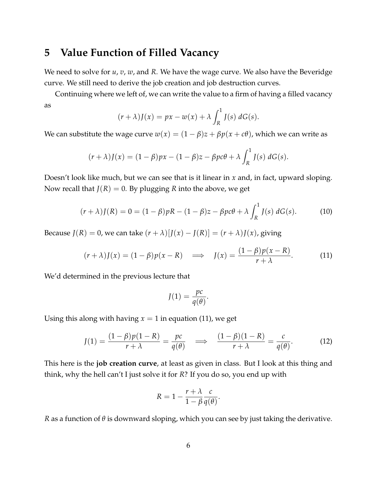## **5 Value Function of Filled Vacancy**

We need to solve for *u*, *v*, *w*, and *R*. We have the wage curve. We also have the Beveridge curve. We still need to derive the job creation and job destruction curves.

Continuing where we left of, we can write the value to a firm of having a filled vacancy as

$$
(r+\lambda)J(x) = px - w(x) + \lambda \int_R^1 J(s) dG(s).
$$

We can substitute the wage curve  $w(x) = (1 - \beta)z + \beta p(x + c\theta)$ , which we can write as

$$
(r+\lambda)J(x) = (1-\beta)px - (1-\beta)z - \beta pc\theta + \lambda \int_R^1 J(s) dG(s).
$$

Doesn't look like much, but we can see that is it linear in *x* and, in fact, upward sloping. Now recall that  $J(R) = 0$ . By plugging *R* into the above, we get

$$
(r+\lambda)J(R) = 0 = (1-\beta)pR - (1-\beta)z - \beta p c\theta + \lambda \int_R^1 J(s) dG(s).
$$
 (10)

Because  $J(R) = 0$ , we can take  $(r + \lambda)[J(x) - J(R)] = (r + \lambda)J(x)$ , giving

$$
(r+\lambda)J(x) = (1-\beta)p(x-R) \quad \Longrightarrow \quad J(x) = \frac{(1-\beta)p(x-R)}{r+\lambda}.\tag{11}
$$

We'd determined in the previous lecture that

$$
J(1) = \frac{pc}{q(\theta)}.
$$

Using this along with having  $x = 1$  in equation (11), we get

$$
J(1) = \frac{(1 - \beta)p(1 - R)}{r + \lambda} = \frac{pc}{q(\theta)} \quad \Longrightarrow \quad \frac{(1 - \beta)(1 - R)}{r + \lambda} = \frac{c}{q(\theta)}.
$$
 (12)

This here is the **job creation curve**, at least as given in class. But I look at this thing and think, why the hell can't I just solve it for *R*? If you do so, you end up with

$$
R = 1 - \frac{r + \lambda}{1 - \beta} \frac{c}{q(\theta)}.
$$

*R* as a function of *θ* is downward sloping, which you can see by just taking the derivative.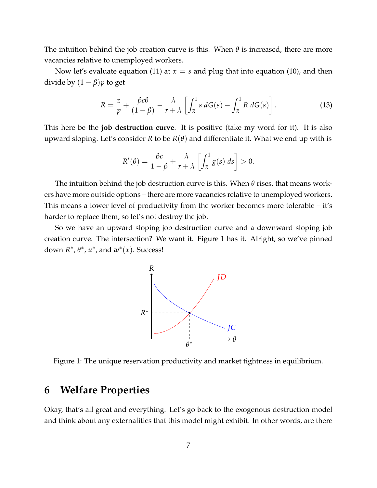The intuition behind the job creation curve is this. When *θ* is increased, there are more vacancies relative to unemployed workers.

Now let's evaluate equation (11) at  $x = s$  and plug that into equation (10), and then divide by  $(1 - \beta)p$  to get

$$
R = \frac{z}{p} + \frac{\beta c \theta}{(1 - \beta)} - \frac{\lambda}{r + \lambda} \left[ \int_{R}^{1} s \, dG(s) - \int_{R}^{1} R \, dG(s) \right]. \tag{13}
$$

This here be the **job destruction curve**. It is positive (take my word for it). It is also upward sloping. Let's consider *R* to be  $R(\theta)$  and differentiate it. What we end up with is

$$
R'(\theta) = \frac{\beta c}{1-\beta} + \frac{\lambda}{r+\lambda} \left[ \int_R^1 g(s) \, ds \right] > 0.
$$

The intuition behind the job destruction curve is this. When *θ* rises, that means workers have more outside options – there are more vacancies relative to unemployed workers. This means a lower level of productivity from the worker becomes more tolerable – it's harder to replace them, so let's not destroy the job.

So we have an upward sloping job destruction curve and a downward sloping job creation curve. The intersection? We want it. Figure 1 has it. Alright, so we've pinned down  $R^*$ ,  $\theta^*$ ,  $u^*$ , and  $w^*(x)$ . Success!



Figure 1: The unique reservation productivity and market tightness in equilibrium.

# **6 Welfare Properties**

Okay, that's all great and everything. Let's go back to the exogenous destruction model and think about any externalities that this model might exhibit. In other words, are there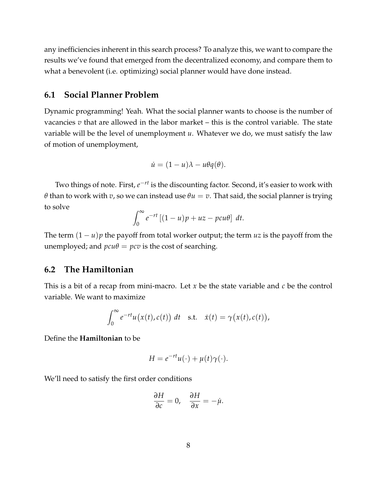any inefficiencies inherent in this search process? To analyze this, we want to compare the results we've found that emerged from the decentralized economy, and compare them to what a benevolent (i.e. optimizing) social planner would have done instead.

### **6.1 Social Planner Problem**

Dynamic programming! Yeah. What the social planner wants to choose is the number of vacancies *v* that are allowed in the labor market – this is the control variable. The state variable will be the level of unemployment *u*. Whatever we do, we must satisfy the law of motion of unemployment,

$$
\dot{u} = (1 - u)\lambda - u\theta q(\theta).
$$

Two things of note. First*, e<sup>−rt</sup>* is the discounting factor. Second*,* it's easier to work with *θ* than to work with *v*, so we can instead use  $\theta u = v$ . That said, the social planner is trying to solve

$$
\int_0^\infty e^{-rt} \left[ (1-u)p + uz - pcu\theta \right] dt.
$$

The term  $(1 – u)p$  the payoff from total worker output; the term *uz* is the payoff from the unemployed; and  $pcu\theta = pcv$  is the cost of searching.

#### **6.2 The Hamiltonian**

This is a bit of a recap from mini-macro. Let *x* be the state variable and *c* be the control variable. We want to maximize

$$
\int_0^\infty e^{-rt}u(x(t),c(t)) dt \text{ s.t. } \dot{x}(t) = \gamma(x(t),c(t)),
$$

Define the **Hamiltonian** to be

$$
H = e^{-rt}u(\cdot) + \mu(t)\gamma(\cdot).
$$

We'll need to satisfy the first order conditions

$$
\frac{\partial H}{\partial c}=0, \quad \frac{\partial H}{\partial x}=-\dot{\mu}.
$$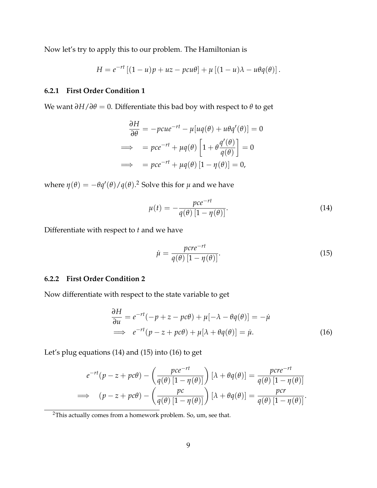Now let's try to apply this to our problem. The Hamiltonian is

$$
H = e^{-rt} [(1 - u)p + uz - pcu\theta] + \mu [(1 - u)\lambda - u\theta q(\theta)].
$$

#### **6.2.1 First Order Condition 1**

We want  $\partial H / \partial \theta = 0$ . Differentiate this bad boy with respect to  $\theta$  to get

$$
\frac{\partial H}{\partial \theta} = -p c u e^{-rt} - \mu [u q(\theta) + u \theta q'(\theta)] = 0
$$
  
\n
$$
\implies = p c e^{-rt} + \mu q(\theta) \left[ 1 + \theta \frac{q'(\theta)}{q(\theta)} \right] = 0
$$
  
\n
$$
\implies = p c e^{-rt} + \mu q(\theta) [1 - \eta(\theta)] = 0,
$$

where  $\eta(\theta) = -\theta q'(\theta)/q(\theta)$ .<sup>2</sup> Solve this for  $\mu$  and we have

$$
\mu(t) = -\frac{pce^{-rt}}{q(\theta)\left[1 - \eta(\theta)\right]}.
$$
\n(14)

Differentiate with respect to *t* and we have

$$
\dot{\mu} = \frac{pcre^{-rt}}{q(\theta) [1 - \eta(\theta)]}.
$$
\n(15)

#### **6.2.2 First Order Condition 2**

Now differentiate with respect to the state variable to get

$$
\frac{\partial H}{\partial u} = e^{-rt}(-p + z - pc\theta) + \mu[-\lambda - \theta q(\theta)] = -\mu
$$
  
\n
$$
\implies e^{-rt}(p - z + pc\theta) + \mu[\lambda + \theta q(\theta)] = \mu.
$$
 (16)

Let's plug equations (14) and (15) into (16) to get

$$
e^{-rt}(p-z+pc\theta) - \left(\frac{pce^{-rt}}{q(\theta)[1-\eta(\theta)]}\right)[\lambda + \theta q(\theta)] = \frac{pcre^{-rt}}{q(\theta)[1-\eta(\theta)]}
$$
  
\n
$$
\implies (p-z+pc\theta) - \left(\frac{pc}{q(\theta)[1-\eta(\theta)]}\right)[\lambda + \theta q(\theta)] = \frac{pcr}{q(\theta)[1-\eta(\theta)]}.
$$

<sup>2</sup>This actually comes from a homework problem. So, um, see that.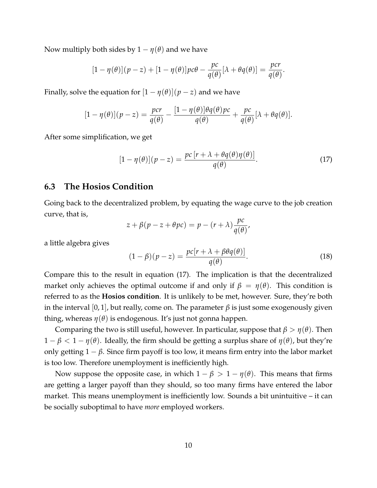Now multiply both sides by  $1 - \eta(\theta)$  and we have

$$
[1 - \eta(\theta)](p - z) + [1 - \eta(\theta)]pc\theta - \frac{pc}{q(\theta)}[\lambda + \theta q(\theta)] = \frac{pc}{q(\theta)}.
$$

Finally, solve the equation for  $[1 - \eta(\theta)](p - z)$  and we have

$$
[1 - \eta(\theta)](p - z) = \frac{pcr}{q(\theta)} - \frac{[1 - \eta(\theta)]\theta q(\theta)pc}{q(\theta)} + \frac{pc}{q(\theta)}[\lambda + \theta q(\theta)].
$$

After some simplification, we get

$$
[1 - \eta(\theta)](p - z) = \frac{pc[r + \lambda + \theta q(\theta)\eta(\theta)]}{q(\theta)}.
$$
 (17)

### **6.3 The Hosios Condition**

Going back to the decentralized problem, by equating the wage curve to the job creation curve, that is,

$$
z + \beta(p - z + \theta pc) = p - (r + \lambda) \frac{pc}{q(\theta)},
$$

a little algebra gives

$$
(1 - \beta)(p - z) = \frac{pc[r + \lambda + \beta\theta q(\theta)]}{q(\theta)}.
$$
\n(18)

Compare this to the result in equation (17). The implication is that the decentralized market only achieves the optimal outcome if and only if  $\beta = \eta(\theta)$ . This condition is referred to as the **Hosios condition**. It is unlikely to be met, however. Sure, they're both in the interval [0, 1], but really, come on. The parameter  $β$  is just some exogenously given thing, whereas *η*(*θ*) is endogenous. It's just not gonna happen.

Comparing the two is still useful, however. In particular, suppose that *β* > *η*(*θ*). Then 1 − *β* < 1 − *η*(*θ*). Ideally, the firm should be getting a surplus share of *η*(*θ*), but they're only getting  $1 - \beta$ . Since firm payoff is too low, it means firm entry into the labor market is too low. Therefore unemployment is inefficiently high.

Now suppose the opposite case, in which  $1 - \beta > 1 - \eta(\theta)$ . This means that firms are getting a larger payoff than they should, so too many firms have entered the labor market. This means unemployment is inefficiently low. Sounds a bit unintuitive – it can be socially suboptimal to have *more* employed workers.